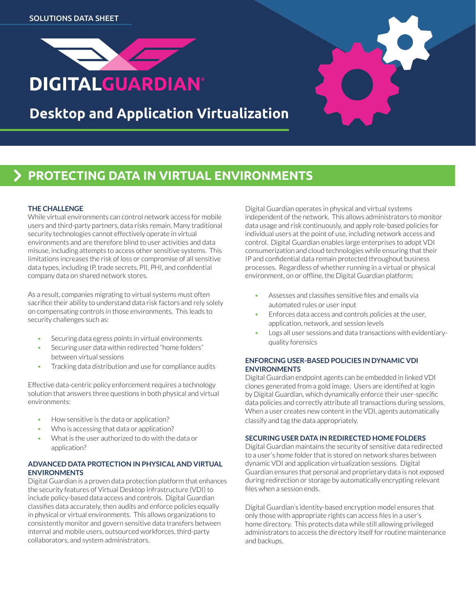



# **PROTECTING DATA IN VIRTUAL ENVIRONMENTS**

## **THE CHALLENGE**

While virtual environments can control network access for mobile users and third-party partners, data risks remain. Many traditional security technologies cannot effectively operate in virtual environments and are therefore blind to user activities and data misuse, including attempts to access other sensitive systems. This limitations increases the risk of loss or compromise of all sensitive data types, including IP, trade secrets, PII, PHI, and confidential company data on shared network stores.

As a result, companies migrating to virtual systems must often sacrifice their ability to understand data risk factors and rely solely on compensating controls in those environments. This leads to security challenges such as:

- Securing data egress points in virtual environments
- Securing user data within redirected "home folders" between virtual sessions
- Tracking data distribution and use for compliance audits

Effective data-centric policy enforcement requires a technology solution that answers three questions in both physical and virtual environments:

- How sensitive is the data or application?
- Who is accessing that data or application?
- What is the user authorized to do with the data or application?

## **ADVANCED DATA PROTECTION IN PHYSICAL AND VIRTUAL ENVIRONMENTS**

Digital Guardian is a proven data protection platform that enhances the security features of Virtual Desktop Infrastructure (VDI) to include policy-based data access and controls. Digital Guardian classifies data accurately, then audits and enforce policies equally in physical or virtual environments. This allows organizations to consistently monitor and govern sensitive data transfers between internal and mobile users, outsourced workforces, third-party collaborators, and system administrators.

Digital Guardian operates in physical and virtual systems independent of the network. This allows administrators to monitor data usage and risk continuously, and apply role-based policies for individual users at the point of use, including network access and control. Digital Guardian enables large enterprises to adopt VDI consumerization and cloud technologies while ensuring that their IP and confidential data remain protected throughout business processes. Regardless of whether running in a virtual or physical environment, on or offline, the Digital Guardian platform:

- Assesses and classifies sensitive files and emails via automated rules or user input
- Enforces data access and controls policies at the user, application, network, and session levels
- Logs all user sessions and data transactions with evidentiaryquality forensics

#### **ENFORCING USER-BASED POLICIES IN DYNAMIC VDI ENVIRONMENTS**

Digital Guardian endpoint agents can be embedded in linked VDI clones generated from a gold image. Users are identified at login by Digital Guardian, which dynamically enforce their user-specific data policies and correctly attribute all transactions during sessions. When a user creates new content in the VDI, agents automatically classify and tag the data appropriately.

## **SECURING USER DATA IN REDIRECTED HOME FOLDERS**

Digital Guardian maintains the security of sensitive data redirected to a user's home folder that is stored on network shares between dynamic VDI and application virtualization sessions. Digital Guardian ensures that personal and proprietary data is not exposed during redirection or storage by automatically encrypting relevant files when a session ends.

Digital Guardian's identity-based encryption model ensures that only those with appropriate rights can access files in a user's home directory. This protects data while still allowing privileged administrators to access the directory itself for routine maintenance and backups.